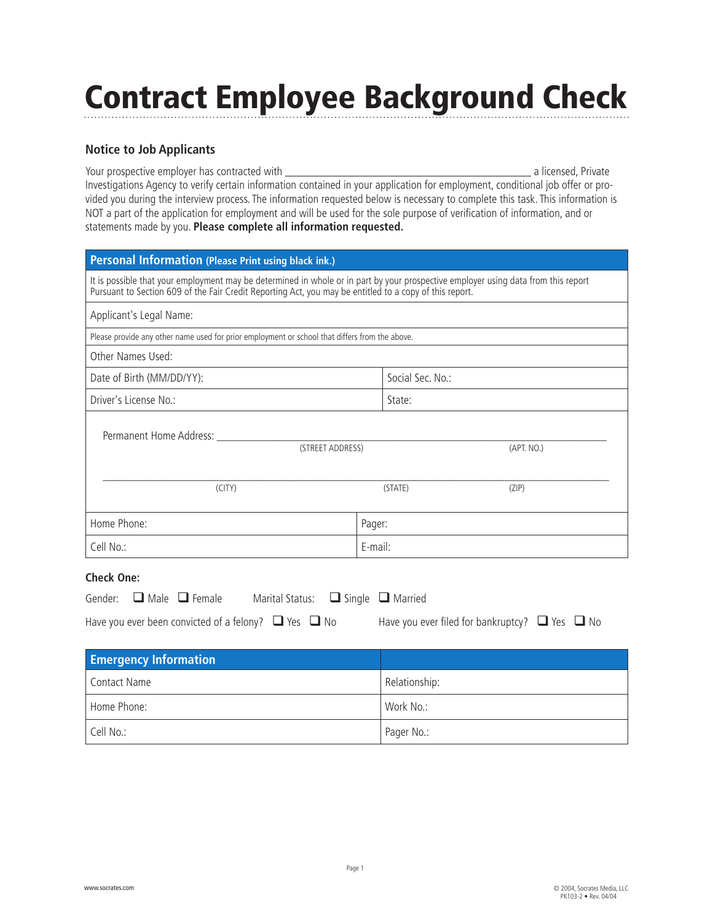## Contract Employee Background Check

## **Notice to Job Applicants**

Your prospective employer has contracted with a licensed, Private Investigations Agency to verify certain information contained in your application for employment, conditional job offer or provided you during the interview process. The information requested below is necessary to complete this task. This information is NOT a part of the application for employment and will be used for the sole purpose of verification of information, and or statements made by you. **Please complete all information requested.**

| Personal Information (Please Print using black ink.)                                                                                                                                                                                          |         |                  |  |  |  |  |  |
|-----------------------------------------------------------------------------------------------------------------------------------------------------------------------------------------------------------------------------------------------|---------|------------------|--|--|--|--|--|
| It is possible that your employment may be determined in whole or in part by your prospective employer using data from this report<br>Pursuant to Section 609 of the Fair Credit Reporting Act, you may be entitled to a copy of this report. |         |                  |  |  |  |  |  |
| Applicant's Legal Name:                                                                                                                                                                                                                       |         |                  |  |  |  |  |  |
| Please provide any other name used for prior employment or school that differs from the above.                                                                                                                                                |         |                  |  |  |  |  |  |
| Other Names Used:                                                                                                                                                                                                                             |         |                  |  |  |  |  |  |
| Date of Birth (MM/DD/YY):                                                                                                                                                                                                                     |         | Social Sec. No.: |  |  |  |  |  |
| Driver's License No.:                                                                                                                                                                                                                         | State:  |                  |  |  |  |  |  |
| Permanent Home Address:<br>(STREET ADDRESS)                                                                                                                                                                                                   |         | (APT. NO.)       |  |  |  |  |  |
| (CITY)                                                                                                                                                                                                                                        | (STATE) | (ZIP)            |  |  |  |  |  |
| Home Phone:                                                                                                                                                                                                                                   | Pager:  |                  |  |  |  |  |  |
| Cell No.:                                                                                                                                                                                                                                     | E-mail: |                  |  |  |  |  |  |
| <b>Check One:</b>                                                                                                                                                                                                                             |         |                  |  |  |  |  |  |

|  | Gender: $\Box$ Male $\Box$ Female                              | Marital Status: $\Box$ Single $\Box$ Married |                                                          |  |
|--|----------------------------------------------------------------|----------------------------------------------|----------------------------------------------------------|--|
|  | Have you ever been convicted of a felony? $\Box$ Yes $\Box$ No |                                              | Have you ever filed for bankruptcy? $\Box$ Yes $\Box$ No |  |

| <b>Emergency Information</b> |               |
|------------------------------|---------------|
| Contact Name                 | Relationship: |
| Home Phone:                  | Work No.:     |
| Cell No.:                    | Pager No.:    |